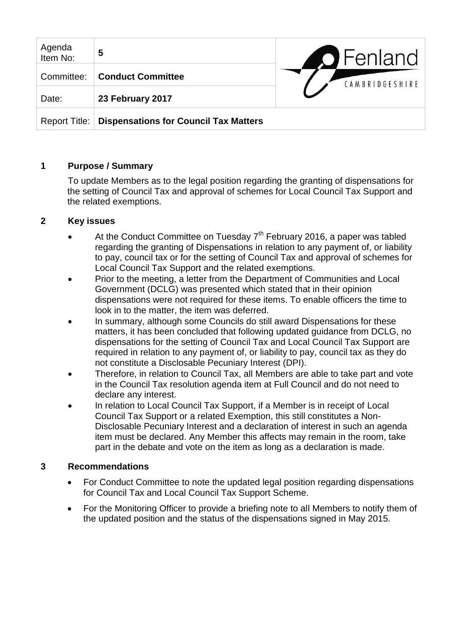| Agenda<br>Item No: | 5                                            | <b>O</b> Fenland |
|--------------------|----------------------------------------------|------------------|
| Committee:         | <b>Conduct Committee</b>                     | CAMBRIDGESHIRE   |
| Date:              | 23 February 2017                             |                  |
| Report Title:      | <b>Dispensations for Council Tax Matters</b> |                  |

## **1 Purpose / Summary**

To update Members as to the legal position regarding the granting of dispensations for the setting of Council Tax and approval of schemes for Local Council Tax Support and the related exemptions.

## **2 Key issues**

- At the Conduct Committee on Tuesday  $7<sup>th</sup>$  February 2016, a paper was tabled regarding the granting of Dispensations in relation to any payment of, or liability to pay, council tax or for the setting of Council Tax and approval of schemes for Local Council Tax Support and the related exemptions.
- Prior to the meeting, a letter from the Department of Communities and Local Government (DCLG) was presented which stated that in their opinion dispensations were not required for these items. To enable officers the time to look in to the matter, the item was deferred.
- In summary, although some Councils do still award Dispensations for these matters, it has been concluded that following updated guidance from DCLG, no dispensations for the setting of Council Tax and Local Council Tax Support are required in relation to any payment of, or liability to pay, council tax as they do not constitute a Disclosable Pecuniary Interest (DPI).
- Therefore, in relation to Council Tax, all Members are able to take part and vote in the Council Tax resolution agenda item at Full Council and do not need to declare any interest.
- In relation to Local Council Tax Support, if a Member is in receipt of Local Council Tax Support or a related Exemption, this still constitutes a Non-Disclosable Pecuniary Interest and a declaration of interest in such an agenda item must be declared. Any Member this affects may remain in the room, take part in the debate and vote on the item as long as a declaration is made.

## **3 Recommendations**

- For Conduct Committee to note the updated legal position regarding dispensations for Council Tax and Local Council Tax Support Scheme.
- For the Monitoring Officer to provide a briefing note to all Members to notify them of the updated position and the status of the dispensations signed in May 2015.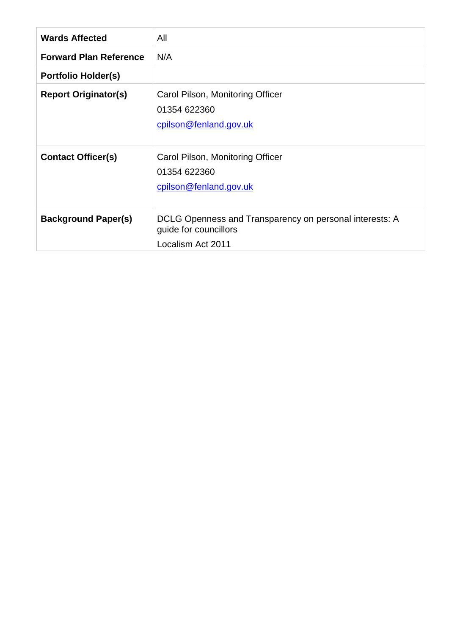| <b>Wards Affected</b>         | All                                                                                                   |
|-------------------------------|-------------------------------------------------------------------------------------------------------|
| <b>Forward Plan Reference</b> | N/A                                                                                                   |
| <b>Portfolio Holder(s)</b>    |                                                                                                       |
| <b>Report Originator(s)</b>   | Carol Pilson, Monitoring Officer<br>01354 622360<br>cpilson@fenland.gov.uk                            |
| <b>Contact Officer(s)</b>     | Carol Pilson, Monitoring Officer<br>01354 622360<br>cpilson@fenland.gov.uk                            |
| <b>Background Paper(s)</b>    | DCLG Openness and Transparency on personal interests: A<br>guide for councillors<br>Localism Act 2011 |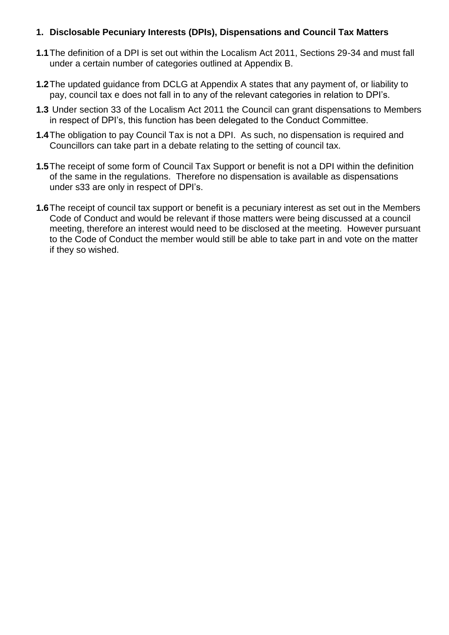#### **1. Disclosable Pecuniary Interests (DPIs), Dispensations and Council Tax Matters**

- **1.1**The definition of a DPI is set out within the Localism Act 2011, Sections 29-34 and must fall under a certain number of categories outlined at Appendix B.
- **1.2**The updated guidance from DCLG at Appendix A states that any payment of, or liability to pay, council tax e does not fall in to any of the relevant categories in relation to DPI's.
- **1.3** Under section 33 of the Localism Act 2011 the Council can grant dispensations to Members in respect of DPI's, this function has been delegated to the Conduct Committee.
- **1.4**The obligation to pay Council Tax is not a DPI. As such, no dispensation is required and Councillors can take part in a debate relating to the setting of council tax.
- **1.5**The receipt of some form of Council Tax Support or benefit is not a DPI within the definition of the same in the regulations. Therefore no dispensation is available as dispensations under s33 are only in respect of DPI's.
- **1.6**The receipt of council tax support or benefit is a pecuniary interest as set out in the Members Code of Conduct and would be relevant if those matters were being discussed at a council meeting, therefore an interest would need to be disclosed at the meeting. However pursuant to the Code of Conduct the member would still be able to take part in and vote on the matter if they so wished.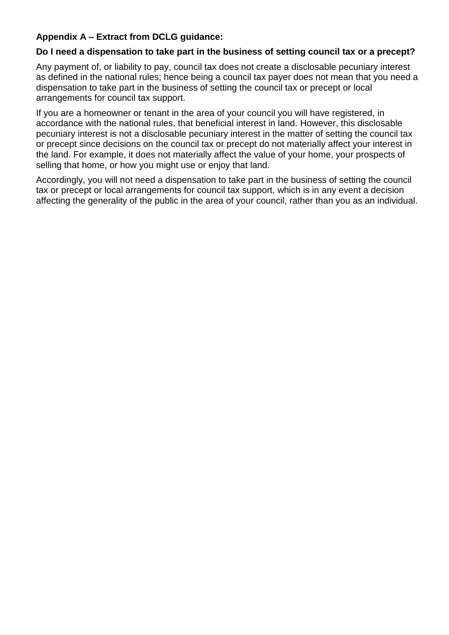# **Appendix A – Extract from DCLG guidance:**

### **Do I need a dispensation to take part in the business of setting council tax or a precept?**

Any payment of, or liability to pay, council tax does not create a disclosable pecuniary interest as defined in the national rules; hence being a council tax payer does not mean that you need a dispensation to take part in the business of setting the council tax or precept or local arrangements for council tax support.

If you are a homeowner or tenant in the area of your council you will have registered, in accordance with the national rules, that beneficial interest in land. However, this disclosable pecuniary interest is not a disclosable pecuniary interest in the matter of setting the council tax or precept since decisions on the council tax or precept do not materially affect your interest in the land. For example, it does not materially affect the value of your home, your prospects of selling that home, or how you might use or enjoy that land.

Accordingly, you will not need a dispensation to take part in the business of setting the council tax or precept or local arrangements for council tax support, which is in any event a decision affecting the generality of the public in the area of your council, rather than you as an individual.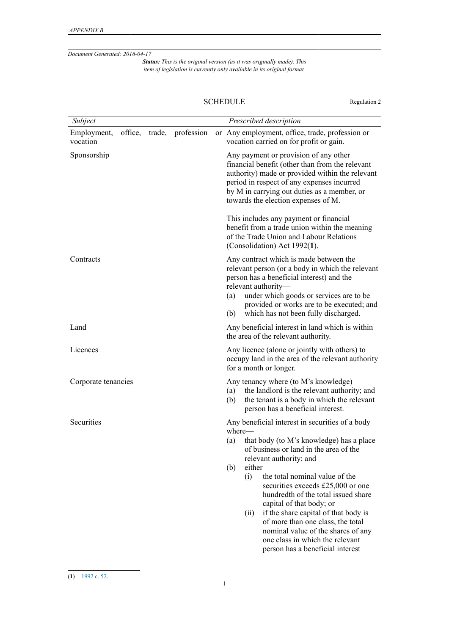*Document Generated: 2016-04-17*

*Status: This is the original version (as it was originally made). This item of legislation is currently only available in its original format.*

#### SCHEDULE Regulation 2

| Subject                            |        |            | Prescribed description                                                                                                                                                                                                                                                                                                                                                                                                                                                                                                                                |
|------------------------------------|--------|------------|-------------------------------------------------------------------------------------------------------------------------------------------------------------------------------------------------------------------------------------------------------------------------------------------------------------------------------------------------------------------------------------------------------------------------------------------------------------------------------------------------------------------------------------------------------|
| Employment,<br>office,<br>vocation | trade, | profession | or Any employment, office, trade, profession or<br>vocation carried on for profit or gain.                                                                                                                                                                                                                                                                                                                                                                                                                                                            |
| Sponsorship                        |        |            | Any payment or provision of any other<br>financial benefit (other than from the relevant<br>authority) made or provided within the relevant<br>period in respect of any expenses incurred<br>by M in carrying out duties as a member, or<br>towards the election expenses of M.                                                                                                                                                                                                                                                                       |
|                                    |        |            | This includes any payment or financial<br>benefit from a trade union within the meaning<br>of the Trade Union and Labour Relations<br>(Consolidation) Act 1992(1).                                                                                                                                                                                                                                                                                                                                                                                    |
| Contracts                          |        |            | Any contract which is made between the<br>relevant person (or a body in which the relevant<br>person has a beneficial interest) and the<br>relevant authority-<br>under which goods or services are to be<br>(a)<br>provided or works are to be executed; and<br>which has not been fully discharged.<br>(b)                                                                                                                                                                                                                                          |
| Land                               |        |            | Any beneficial interest in land which is within<br>the area of the relevant authority.                                                                                                                                                                                                                                                                                                                                                                                                                                                                |
| Licences                           |        |            | Any licence (alone or jointly with others) to<br>occupy land in the area of the relevant authority<br>for a month or longer.                                                                                                                                                                                                                                                                                                                                                                                                                          |
| Corporate tenancies                |        |            | Any tenancy where (to M's knowledge)—<br>the landlord is the relevant authority; and<br>(a)<br>(b)<br>the tenant is a body in which the relevant<br>person has a beneficial interest.                                                                                                                                                                                                                                                                                                                                                                 |
| Securities                         |        |            | Any beneficial interest in securities of a body<br>where-<br>that body (to M's knowledge) has a place<br>(a)<br>of business or land in the area of the<br>relevant authority; and<br>either-<br>(b)<br>(i)<br>the total nominal value of the<br>securities exceeds £25,000 or one<br>hundredth of the total issued share<br>capital of that body; or<br>if the share capital of that body is<br>(i)<br>of more than one class, the total<br>nominal value of the shares of any<br>one class in which the relevant<br>person has a beneficial interest |

<sup>(</sup>**1**) [1992 c. 52.](http://www.legislation.gov.uk/id/ukpga/1992/52)